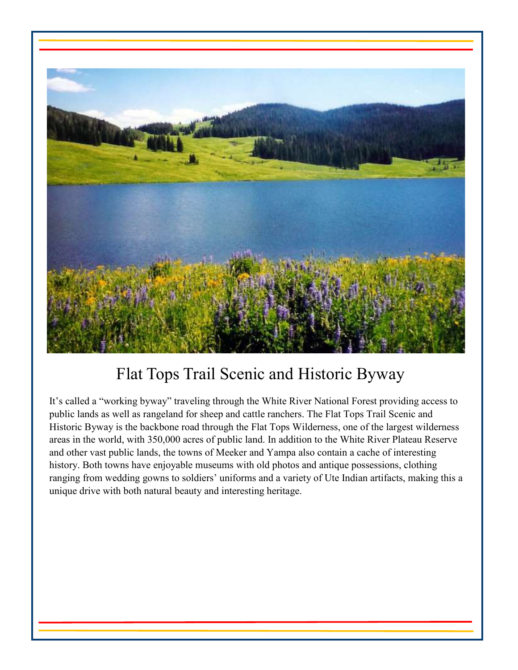

# Flat Tops Trail Scenic and Historic Byway

It's called a "working byway" traveling through the White River National Forest providing access to public lands as well as rangeland for sheep and cattle ranchers. The Flat Tops Trail Scenic and Historic Byway is the backbone road through the Flat Tops Wilderness, one of the largest wilderness areas in the world, with 350,000 acres of public land. In addition to the White River Plateau Reserve and other vast public lands, the towns of Meeker and Yampa also contain a cache of interesting history. Both towns have enjoyable museums with old photos and antique possessions, clothing ranging from wedding gowns to soldiers' uniforms and a variety of Ute Indian artifacts, making this a unique drive with both natural beauty and interesting heritage.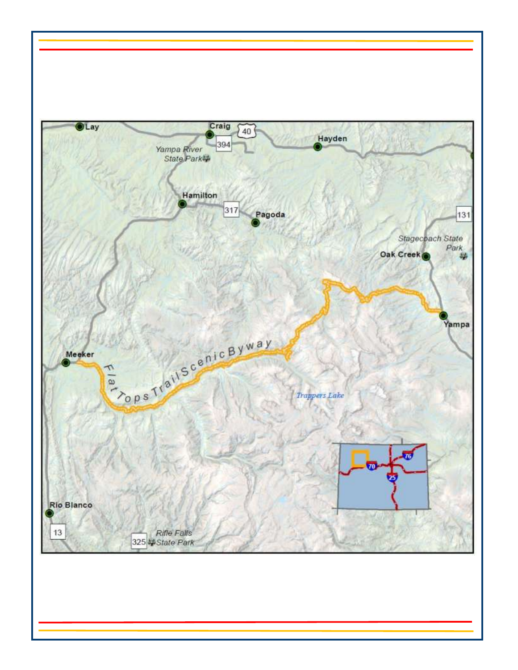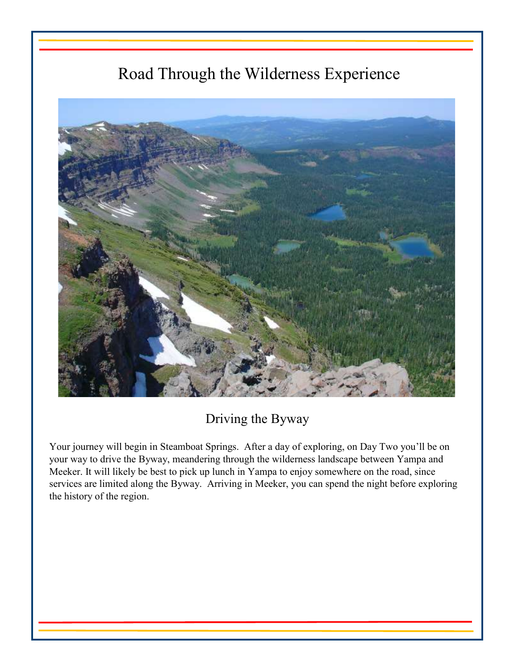# Road Through the Wilderness Experience



### Driving the Byway

Your journey will begin in Steamboat Springs. After a day of exploring, on Day Two you'll be on your way to drive the Byway, meandering through the wilderness landscape between Yampa and Meeker. It will likely be best to pick up lunch in Yampa to enjoy somewhere on the road, since services are limited along the Byway. Arriving in Meeker, you can spend the night before exploring the history of the region.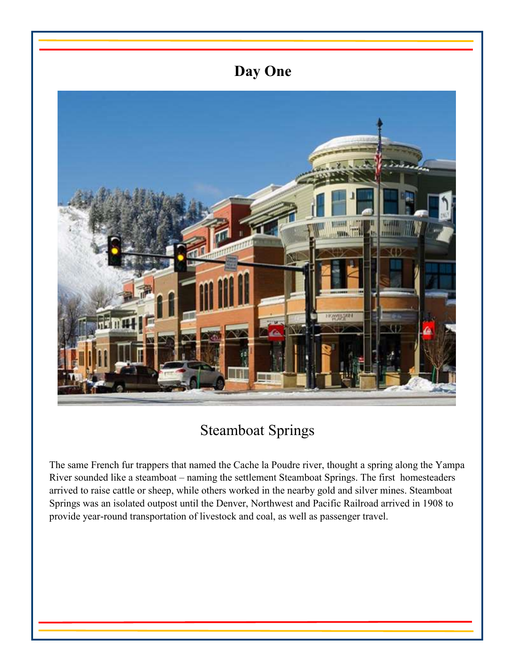## **Day One**



## Steamboat Springs

The same French fur trappers that named the Cache la Poudre river, thought a spring along the Yampa River sounded like a steamboat – naming the settlement Steamboat Springs. The first homesteaders arrived to raise cattle or sheep, while others worked in the nearby gold and silver mines. Steamboat Springs was an isolated outpost until the Denver, Northwest and Pacific Railroad arrived in 1908 to provide year-round transportation of livestock and coal, as well as passenger travel.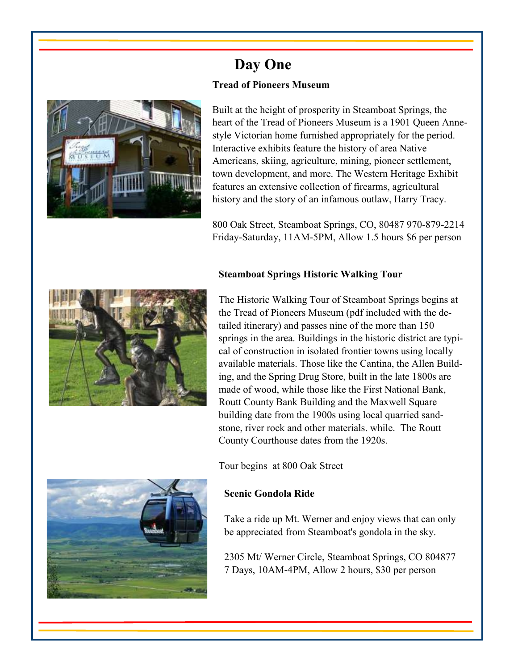

### **Day One Tread of Pioneers Museum**

Built at the height of prosperity in Steamboat Springs, the heart of the Tread of Pioneers Museum is a 1901 Queen Annestyle Victorian home furnished appropriately for the period. Interactive exhibits feature the history of area Native Americans, skiing, agriculture, mining, pioneer settlement, town development, and more. The Western Heritage Exhibit features an extensive collection of firearms, agricultural history and the story of an infamous outlaw, Harry Tracy.

800 Oak Street, Steamboat Springs, CO, 80487 970-879-2214 Friday-Saturday, 11AM-5PM, Allow 1.5 hours \$6 per person

#### **Steamboat Springs Historic Walking Tour**



The Historic Walking Tour of Steamboat Springs begins at the Tread of Pioneers Museum (pdf included with the detailed itinerary) and passes nine of the more than 150 springs in the area. Buildings in the historic district are typical of construction in isolated frontier towns using locally available materials. Those like the Cantina, the Allen Building, and the Spring Drug Store, built in the late 1800s are made of wood, while those like the First National Bank, Routt County Bank Building and the Maxwell Square building date from the 1900s using local quarried sandstone, river rock and other materials. while. The Routt County Courthouse dates from the 1920s.

Tour begins at 800 Oak Street

#### **Scenic Gondola Ride**

Take a ride up Mt. Werner and enjoy views that can only be appreciated from Steamboat's gondola in the sky.

2305 Mt/ Werner Circle, Steamboat Springs, CO 804877 7 Days, 10AM-4PM, Allow 2 hours, \$30 per person

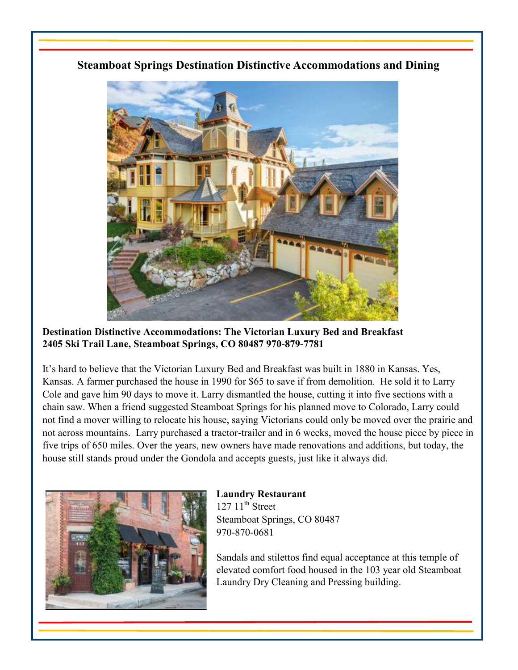#### **Steamboat Springs Destination Distinctive Accommodations and Dining**



**Destination Distinctive Accommodations: The Victorian Luxury Bed and Breakfast 2405 Ski Trail Lane, Steamboat Springs, CO 80487 970-879-7781** 

It's hard to believe that the Victorian Luxury Bed and Breakfast was built in 1880 in Kansas. Yes, Kansas. A farmer purchased the house in 1990 for \$65 to save if from demolition. He sold it to Larry Cole and gave him 90 days to move it. Larry dismantled the house, cutting it into five sections with a chain saw. When a friend suggested Steamboat Springs for his planned move to Colorado, Larry could not find a mover willing to relocate his house, saying Victorians could only be moved over the prairie and not across mountains. Larry purchased a tractor-trailer and in 6 weeks, moved the house piece by piece in five trips of 650 miles. Over the years, new owners have made renovations and additions, but today, the house still stands proud under the Gondola and accepts guests, just like it always did.



#### **Laundry Restaurant**   $127 \frac{11}{\text{th}}$  Street

Steamboat Springs, CO 80487 970-870-0681

Sandals and stilettos find equal acceptance at this temple of elevated comfort food housed in the 103 year old Steamboat Laundry Dry Cleaning and Pressing building.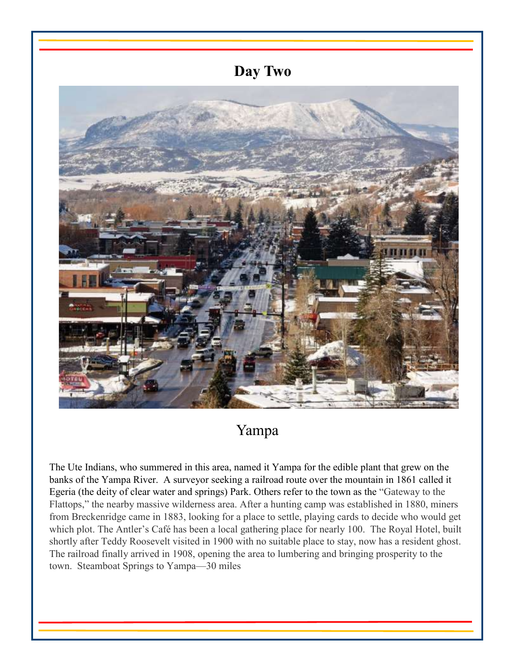

# Yampa

The Ute Indians, who summered in this area, named it Yampa for the edible plant that grew on the banks of the Yampa River. A surveyor seeking a railroad route over the mountain in 1861 called it Egeria (the deity of clear water and springs) Park. Others refer to the town as the "Gateway to the Flattops," the nearby massive wilderness area. After a hunting camp was established in 1880, miners from Breckenridge came in 1883, looking for a place to settle, playing cards to decide who would get which plot. The Antler's Café has been a local gathering place for nearly 100. The Royal Hotel, built shortly after Teddy Roosevelt visited in 1900 with no suitable place to stay, now has a resident ghost. The railroad finally arrived in 1908, opening the area to lumbering and bringing prosperity to the town. Steamboat Springs to Yampa—30 miles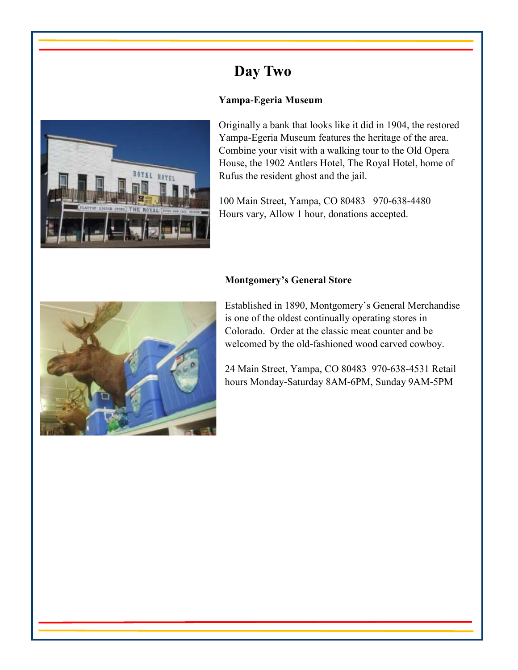### **Day Two**

#### **Yampa-Egeria Museum**



Originally a bank that looks like it did in 1904, the restored Yampa-Egeria Museum features the heritage of the area. Combine your visit with a walking tour to the Old Opera House, the 1902 Antlers Hotel, The Royal Hotel, home of Rufus the resident ghost and the jail.

100 Main Street, Yampa, CO 80483 970-638-4480 Hours vary, Allow 1 hour, donations accepted.

#### **Montgomery's General Store**



Established in 1890, Montgomery's General Merchandise is one of the oldest continually operating stores in Colorado. Order at the classic meat counter and be welcomed by the old-fashioned wood carved cowboy.

24 Main Street, Yampa, CO 80483 970-638-4531 Retail hours Monday-Saturday 8AM-6PM, Sunday 9AM-5PM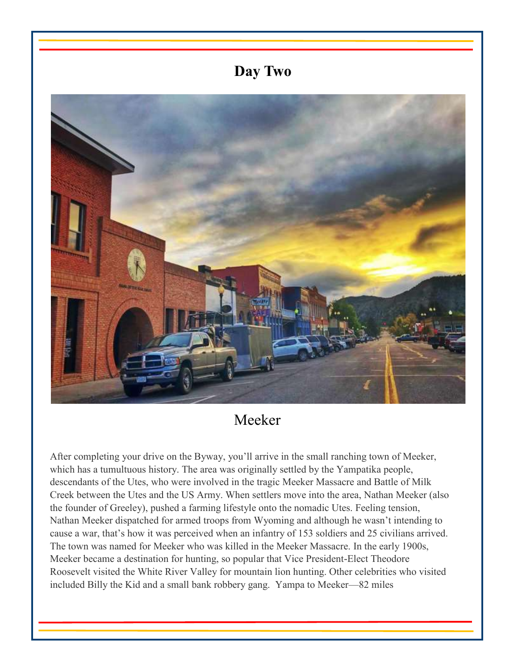### **Day Two**



### Meeker

After completing your drive on the Byway, you'll arrive in the small ranching town of Meeker, which has a tumultuous history. The area was originally settled by the Yampatika people, descendants of the Utes, who were involved in the tragic Meeker Massacre and Battle of Milk Creek between the Utes and the US Army. When settlers move into the area, Nathan Meeker (also the founder of Greeley), pushed a farming lifestyle onto the nomadic Utes. Feeling tension, Nathan Meeker dispatched for armed troops from Wyoming and although he wasn't intending to cause a war, that's how it was perceived when an infantry of 153 soldiers and 25 civilians arrived. The town was named for Meeker who was killed in the Meeker Massacre. In the early 1900s, Meeker became a destination for hunting, so popular that Vice President-Elect Theodore Roosevelt visited the White River Valley for mountain lion hunting. Other celebrities who visited included Billy the Kid and a small bank robbery gang. Yampa to Meeker—82 miles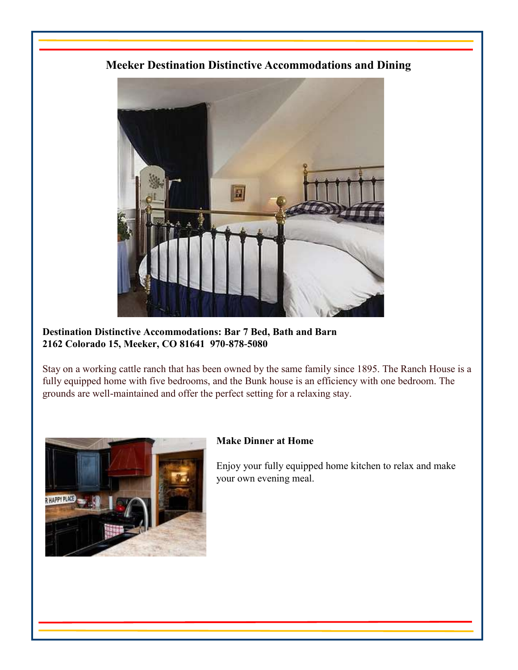### **Meeker Destination Distinctive Accommodations and Dining**



**Destination Distinctive Accommodations: Bar 7 Bed, Bath and Barn 2162 Colorado 15, Meeker, CO 81641 970-878-5080**

Stay on a working cattle ranch that has been owned by the same family since 1895. The Ranch House is a fully equipped home with five bedrooms, and the Bunk house is an efficiency with one bedroom. The grounds are well-maintained and offer the perfect setting for a relaxing stay.



#### **Make Dinner at Home**

Enjoy your fully equipped home kitchen to relax and make your own evening meal.